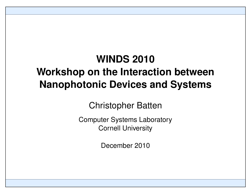# **WINDS 2010 Workshop on the Interaction between Nanophotonic Devices and Systems**

Christopher Batten

Computer Systems Laboratory Cornell University

December 2010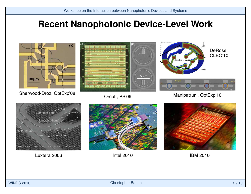### **Recent Nanophotonic Device-Level Work**

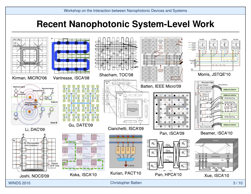### **Recent Nanophotonic System-Level Work**

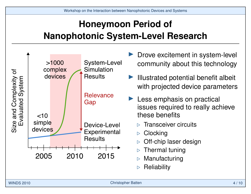# **Honeymoon Period of Nanophotonic System-Level Research**



- Drove excitement in system-level community about this technology
- Illustrated potential benefit albeit with projected device parameters
- $\blacktriangleright$  Less emphasis on practical issues required to really achieve these benefits
	- $\triangleright$  Transceiver circuits
	- $\triangleright$  Clocking
	- . Off-chip laser design
	- . Thermal tuning
	- **Manufacturing**
	- . Reliability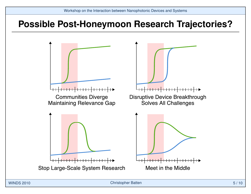### **Possible Post-Honeymoon Research Trajectories?**

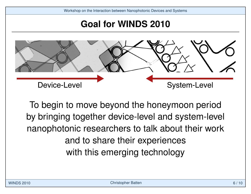### **Goal for WINDS 2010**



To begin to move beyond the honeymoon period by bringing together device-level and system-level nanophotonic researchers to talk about their work and to share their experiences with this emerging technology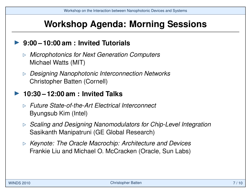## **Workshop Agenda: Morning Sessions**

#### I **9:00 – 10:00 am : Invited Tutorials**

- . *Microphotonics for Next Generation Computers* Michael Watts (MIT)
- . *Designing Nanophotonic Interconnection Networks* Christopher Batten (Cornell)

#### I **10:30 – 12:00 am : Invited Talks**

- . *Future State-of-the-Art Electrical Interconnect* Byungsub Kim (Intel)
- . *Scaling and Designing Nanomodulators for Chip-Level Integration* Sasikanth Manipatruni (GE Global Research)
- . *Keynote: The Oracle Macrochip: Architecture and Devices* Frankie Liu and Michael O. McCracken (Oracle, Sun Labs)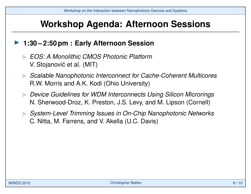### **Workshop Agenda: Afternoon Sessions**

#### I **1:30 – 2:50 pm : Early Afternoon Session**

- . *EOS: A Monolithic CMOS Photonic Platform* V. Stojanović et al. (MIT)
- . *Scalable Nanophotonic Interconnect for Cache-Coherent Multicores* R.W. Morris and A.K. Kodi (Ohio University)
- . *Device Guidelines for WDM Interconnects Using Silicon Microrings* N. Sherwood-Droz, K. Preston, J.S. Levy, and M. Lipson (Cornell)
- . *System-Level Trimming Issues in On-Chip Nanophotonic Networks* C. Nitta, M. Farrens, and V. Akella (U.C. Davis)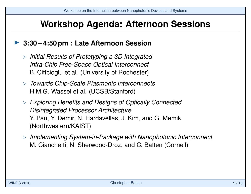### **Workshop Agenda: Afternoon Sessions**

#### ▶ 3:30 – 4:50 pm : Late Afternoon Session

- . *Initial Results of Prototyping a 3D Integrated Intra-Chip Free-Space Optical Interconnect* B. Ciftcioglu et al. (University of Rochester)
- . *Towards Chip-Scale Plasmonic Interconnects* H.M.G. Wassel et al. (UCSB/Stanford)
- . *Exploring Benefits and Designs of Optically Connected Disintegrated Processor Architecture* Y. Pan, Y. Demir, N. Hardavellas, J. Kim, and G. Memik (Northwestern/KAIST)
- . *Implementing System-in-Package with Nanophotonic Interconnect* M. Cianchetti, N. Sherwood-Droz, and C. Batten (Cornell)